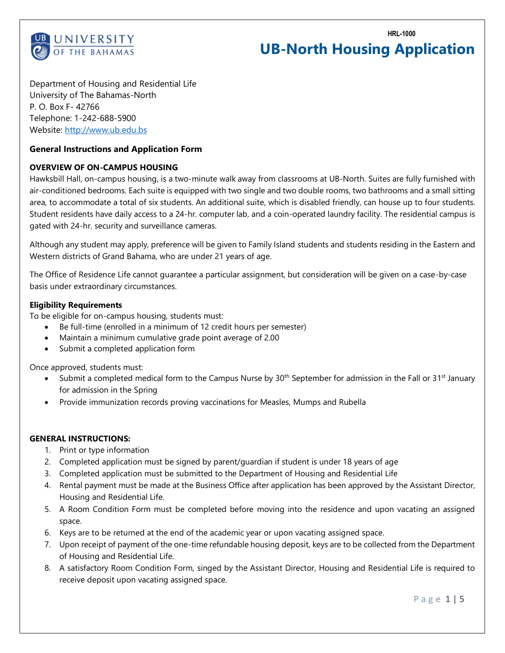

**HRL-1000**

# **UB-North Housing Application**

Department of Housing and Residential Life University of The Bahamas-North P. O. Box F- 42766 Telephone: 1-242-688-5900 Website: [http://www.ub.edu.bs](http://www.ub.edu.bs/)

## **General Instructions and Application Form**

## **OVERVIEW OF ON-CAMPUS HOUSING**

Hawksbill Hall, on-campus housing, is a two-minute walk away from classrooms at UB-North. Suites are fully furnished with air-conditioned bedrooms. Each suite is equipped with two single and two double rooms, two bathrooms and a small sitting area, to accommodate a total of six students. An additional suite, which is disabled friendly, can house up to four students. Student residents have daily access to a 24-hr. computer lab, and a coin-operated laundry facility. The residential campus is gated with 24-hr. security and surveillance cameras.

Although any student may apply, preference will be given to Family Island students and students residing in the Eastern and Western districts of Grand Bahama, who are under 21 years of age.

The Office of Residence Life cannot guarantee a particular assignment, but consideration will be given on a case-by-case basis under extraordinary circumstances.

### **Eligibility Requirements**

To be eligible for on-campus housing, students must:

- Be full-time (enrolled in a minimum of 12 credit hours per semester)
- Maintain a minimum cumulative grade point average of 2.00
- Submit a completed application form

Once approved, students must:

- Submit a completed medical form to the Campus Nurse by 30<sup>th</sup> September for admission in the Fall or 31<sup>st</sup> January for admission in the Spring
- Provide immunization records proving vaccinations for Measles, Mumps and Rubella

### **GENERAL INSTRUCTIONS:**

- 1. Print or type information
- 2. Completed application must be signed by parent/guardian if student is under 18 years of age
- 3. Completed application must be submitted to the Department of Housing and Residential Life
- 4. Rental payment must be made at the Business Office after application has been approved by the Assistant Director, Housing and Residential Life.
- 5. A Room Condition Form must be completed before moving into the residence and upon vacating an assigned space.
- 6. Keys are to be returned at the end of the academic year or upon vacating assigned space.
- 7. Upon receipt of payment of the one-time refundable housing deposit, keys are to be collected from the Department of Housing and Residential Life.
- 8. A satisfactory Room Condition Form, singed by the Assistant Director, Housing and Residential Life is required to receive deposit upon vacating assigned space.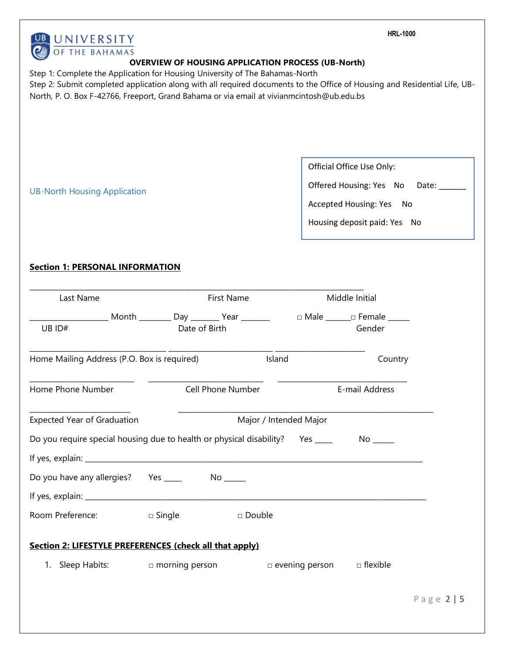| UNIVERSITY                                                                                                                                                                                                                                                                                             |                                                           |                   |                        |                                                                                                                                       | <b>HRL-1000</b>                                                                         |            |  |
|--------------------------------------------------------------------------------------------------------------------------------------------------------------------------------------------------------------------------------------------------------------------------------------------------------|-----------------------------------------------------------|-------------------|------------------------|---------------------------------------------------------------------------------------------------------------------------------------|-----------------------------------------------------------------------------------------|------------|--|
| OF THE BAHAMAS                                                                                                                                                                                                                                                                                         |                                                           |                   |                        |                                                                                                                                       |                                                                                         |            |  |
| Step 1: Complete the Application for Housing University of The Bahamas-North<br>Step 2: Submit completed application along with all required documents to the Office of Housing and Residential Life, UB-<br>North, P. O. Box F-42766, Freeport, Grand Bahama or via email at vivianmcintosh@ub.edu.bs | <b>OVERVIEW OF HOUSING APPLICATION PROCESS (UB-North)</b> |                   |                        |                                                                                                                                       |                                                                                         |            |  |
| <b>UB-North Housing Application</b>                                                                                                                                                                                                                                                                    |                                                           |                   |                        | Official Office Use Only:<br>Offered Housing: Yes No<br>Date:<br><b>Accepted Housing: Yes</b><br>- No<br>Housing deposit paid: Yes No |                                                                                         |            |  |
| <b>Section 1: PERSONAL INFORMATION</b>                                                                                                                                                                                                                                                                 |                                                           |                   |                        |                                                                                                                                       |                                                                                         |            |  |
| Last Name                                                                                                                                                                                                                                                                                              |                                                           | <b>First Name</b> |                        |                                                                                                                                       | Middle Initial                                                                          |            |  |
| UB ID#                                                                                                                                                                                                                                                                                                 | Date of Birth                                             |                   |                        |                                                                                                                                       | Month _________ Day ________ Year ________     □ Male _______ □ Female ______<br>Gender |            |  |
| Home Mailing Address (P.O. Box is required)                                                                                                                                                                                                                                                            |                                                           |                   | Island                 |                                                                                                                                       | Country                                                                                 |            |  |
| Home Phone Number                                                                                                                                                                                                                                                                                      |                                                           | Cell Phone Number |                        |                                                                                                                                       | E-mail Address                                                                          |            |  |
| <b>Expected Year of Graduation</b>                                                                                                                                                                                                                                                                     |                                                           |                   | Major / Intended Major |                                                                                                                                       |                                                                                         |            |  |
| Do you require special housing due to health or physical disability? Yes _____                                                                                                                                                                                                                         |                                                           |                   |                        |                                                                                                                                       |                                                                                         |            |  |
|                                                                                                                                                                                                                                                                                                        |                                                           |                   |                        |                                                                                                                                       |                                                                                         |            |  |
| Room Preference:                                                                                                                                                                                                                                                                                       | $\Box$ Single                                             | □ Double          |                        |                                                                                                                                       |                                                                                         |            |  |
| Section 2: LIFESTYLE PREFERENCES (check all that apply)                                                                                                                                                                                                                                                |                                                           |                   |                        |                                                                                                                                       |                                                                                         |            |  |
| 1. Sleep Habits:                                                                                                                                                                                                                                                                                       | $\Box$ morning person                                     |                   |                        | $\Box$ evening person                                                                                                                 | $\Box$ flexible                                                                         |            |  |
|                                                                                                                                                                                                                                                                                                        |                                                           |                   |                        |                                                                                                                                       |                                                                                         | Page 2   5 |  |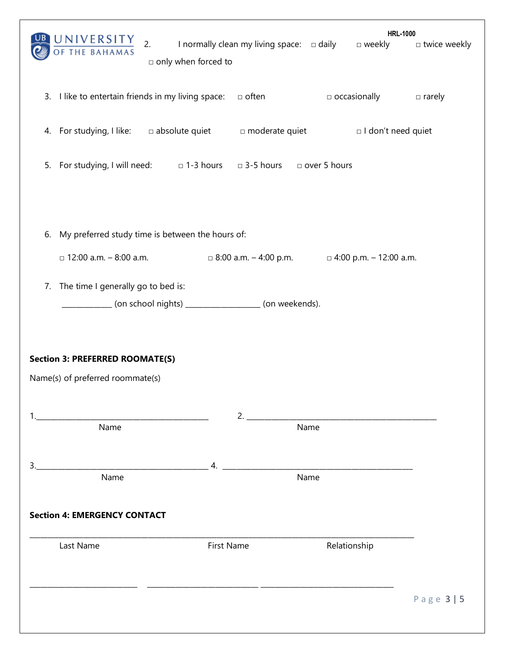| $\frac{10 \text{ NIVE} RSITY}{\text{OF THE BAHAMAS}}$ 2. I normally clean my living space: $\Box$ daily $\Box$ weekly<br>only when forced to |                                                            | <b>HRL-1000</b>                                                                                                      | □ twice weekly |  |  |  |  |
|----------------------------------------------------------------------------------------------------------------------------------------------|------------------------------------------------------------|----------------------------------------------------------------------------------------------------------------------|----------------|--|--|--|--|
| 3. I like to entertain friends in my living space: $\Box$ often                                                                              |                                                            | $\Box$ occasionally $\Box$ rarely                                                                                    |                |  |  |  |  |
| 4. For studying, I like: absolute quiet anderate quiet and all don't need quiet                                                              |                                                            |                                                                                                                      |                |  |  |  |  |
| 5. For studying, I will need: $\Box$ 1-3 hours $\Box$ 3-5 hours $\Box$ over 5 hours                                                          |                                                            |                                                                                                                      |                |  |  |  |  |
| My preferred study time is between the hours of:<br>6.<br>$\Box$ 12:00 a.m. - 8:00 a.m.                                                      | $\Box$ 8:00 a.m. - 4:00 p.m. $\Box$ 4:00 p.m. - 12:00 a.m. |                                                                                                                      |                |  |  |  |  |
| The time I generally go to bed is:<br>7.                                                                                                     |                                                            |                                                                                                                      |                |  |  |  |  |
| __________ (on school nights) __________________ (on weekends).                                                                              |                                                            |                                                                                                                      |                |  |  |  |  |
| <b>Section 3: PREFERRED ROOMATE(S)</b><br>Name(s) of preferred roommate(s)                                                                   |                                                            |                                                                                                                      |                |  |  |  |  |
| <u> 1980 - Jan Barbara, martin da kasar Amerikaan kasar Indonesia.</u><br>Name                                                               | 2.<br>Name                                                 | <u> 1980 - Johann Barn, mars ar breithinn ar breithinn ar breithinn ar breithinn ar breithinn ar breithinn ar br</u> |                |  |  |  |  |
| Name                                                                                                                                         | Name                                                       |                                                                                                                      |                |  |  |  |  |
| <b>Section 4: EMERGENCY CONTACT</b>                                                                                                          |                                                            |                                                                                                                      |                |  |  |  |  |
| Last Name                                                                                                                                    | First Name                                                 | Relationship                                                                                                         |                |  |  |  |  |
|                                                                                                                                              |                                                            |                                                                                                                      |                |  |  |  |  |
|                                                                                                                                              |                                                            |                                                                                                                      | Page 3   5     |  |  |  |  |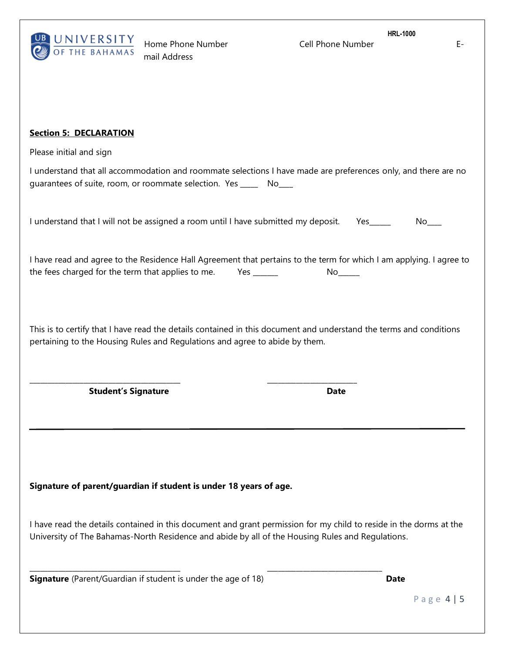

Home Phone Number Cell Phone Number Email Address

**HRL-1000**

# **Section 5: DECLARATION**

Please initial and sign

I understand that all accommodation and roommate selections I have made are preferences only, and there are no guarantees of suite, room, or roommate selection. Yes \_\_\_\_\_ No\_\_\_\_

I understand that I will not be assigned a room until I have submitted my deposit. Yes\_\_\_\_\_ No\_\_\_

I have read and agree to the Residence Hall Agreement that pertains to the term for which I am applying. I agree to the fees charged for the term that applies to me. Yes \_\_\_\_\_\_\_ No\_\_\_\_\_

This is to certify that I have read the details contained in this document and understand the terms and conditions pertaining to the Housing Rules and Regulations and agree to abide by them.

**Student's Signature Date**

**Signature of parent/guardian if student is under 18 years of age.**

\_\_\_\_\_\_\_\_\_\_\_\_\_\_\_\_\_\_\_\_\_\_\_\_\_\_\_\_\_\_\_\_\_\_\_\_\_\_\_\_\_\_ \_\_\_\_\_\_\_\_\_\_\_\_\_\_\_\_\_\_\_\_\_\_\_\_\_

I have read the details contained in this document and grant permission for my child to reside in the dorms at the University of The Bahamas-North Residence and abide by all of the Housing Rules and Regulations.

\_\_\_\_\_\_\_\_\_\_\_\_\_\_\_\_\_\_\_\_\_\_\_\_\_\_\_\_\_\_\_\_\_\_\_\_\_\_\_\_\_\_ \_\_\_\_\_\_\_\_\_\_\_\_\_\_\_\_\_\_\_\_\_\_\_\_\_\_\_\_\_\_\_\_

**Signature** (Parent/Guardian if student is under the age of 18) **Date** 

P a g e 4 | 5